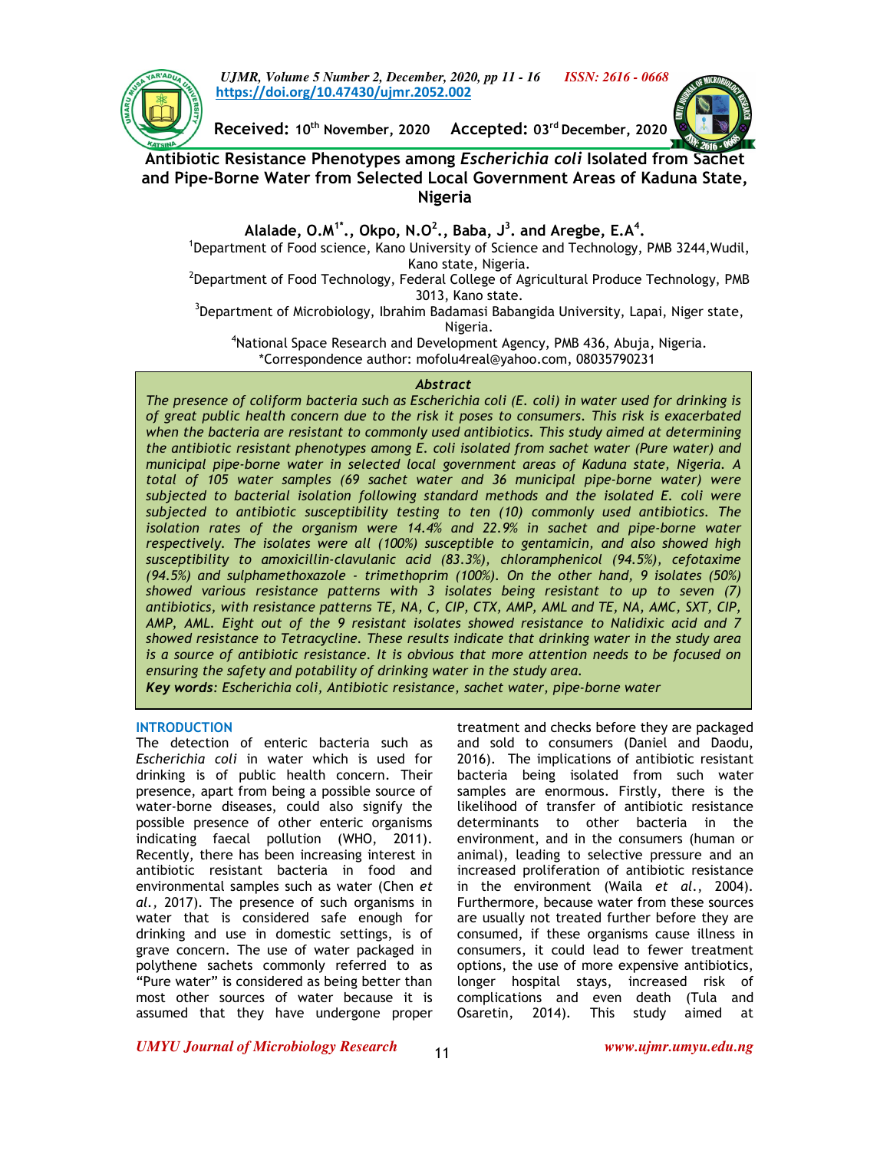

*UJMR, Volume 5 Number 2, December, 2020, pp 11 - 16 ISSN: 2616 - 0668* **https://doi.org/10.47430/ujmr.2052.002**

**Received: 10th November, 2020 Accepted: 03rd December, 2020** 

# **Antibiotic Resistance Phenotypes among** *Escherichia coli* **Isolated from Sachet and Pipe-Borne Water from Selected Local Government Areas of Kaduna State, Nigeria**

**Alalade, O.M1\*., Okpo, N.O<sup>2</sup> ., Baba, J<sup>3</sup> . and Aregbe, E.A<sup>4</sup> .** 

<sup>1</sup>Department of Food science, Kano University of Science and Technology, PMB 3244, Wudil, Kano state, Nigeria.

 $^2$ Department of Food Technology, Federal College of Agricultural Produce Technology, PMB 3013, Kano state.

<sup>3</sup>Department of Microbiology, Ibrahim Badamasi Babangida University, Lapai, Niger state, Nigeria.

<sup>4</sup>National Space Research and Development Agency, PMB 436, Abuja, Nigeria. \*Correspondence author: mofolu4real@yahoo.com, 08035790231

# *Abstract*

*The presence of coliform bacteria such as Escherichia coli (E. coli) in water used for drinking is of great public health concern due to the risk it poses to consumers. This risk is exacerbated when the bacteria are resistant to commonly used antibiotics. This study aimed at determining the antibiotic resistant phenotypes among E. coli isolated from sachet water (Pure water) and municipal pipe-borne water in selected local government areas of Kaduna state, Nigeria. A total of 105 water samples (69 sachet water and 36 municipal pipe-borne water) were subjected to bacterial isolation following standard methods and the isolated E. coli were subjected to antibiotic susceptibility testing to ten (10) commonly used antibiotics. The isolation rates of the organism were 14.4% and 22.9% in sachet and pipe-borne water respectively. The isolates were all (100%) susceptible to gentamicin, and also showed high susceptibility to amoxicillin-clavulanic acid (83.3%), chloramphenicol (94.5%), cefotaxime (94.5%) and sulphamethoxazole - trimethoprim (100%). On the other hand, 9 isolates (50%) showed various resistance patterns with 3 isolates being resistant to up to seven (7) antibiotics, with resistance patterns TE, NA, C, CIP, CTX, AMP, AML and TE, NA, AMC, SXT, CIP, AMP, AML. Eight out of the 9 resistant isolates showed resistance to Nalidixic acid and 7 showed resistance to Tetracycline. These results indicate that drinking water in the study area is a source of antibiotic resistance. It is obvious that more attention needs to be focused on ensuring the safety and potability of drinking water in the study area.* 

*Key words: Escherichia coli, Antibiotic resistance, sachet water, pipe-borne water* 

# **INTRODUCTION**

The detection of enteric bacteria such as *Escherichia coli* in water which is used for drinking is of public health concern. Their presence, apart from being a possible source of water-borne diseases, could also signify the possible presence of other enteric organisms indicating faecal pollution (WHO, 2011). Recently, there has been increasing interest in antibiotic resistant bacteria in food and environmental samples such as water (Chen *et al.,* 2017). The presence of such organisms in water that is considered safe enough for drinking and use in domestic settings, is of grave concern. The use of water packaged in polythene sachets commonly referred to as "Pure water" is considered as being better than most other sources of water because it is assumed that they have undergone proper

treatment and checks before they are packaged and sold to consumers (Daniel and Daodu, 2016). The implications of antibiotic resistant bacteria being isolated from such water samples are enormous. Firstly, there is the likelihood of transfer of antibiotic resistance determinants to other bacteria in the environment, and in the consumers (human or animal), leading to selective pressure and an increased proliferation of antibiotic resistance in the environment (Waila *et al*., 2004). Furthermore, because water from these sources are usually not treated further before they are consumed, if these organisms cause illness in consumers, it could lead to fewer treatment options, the use of more expensive antibiotics, longer hospital stays, increased risk of complications and even death (Tula and Osaretin, 2014). This study aimed at

*UMYU Journal of Microbiology Research www.ujmr.umyu.edu.ng*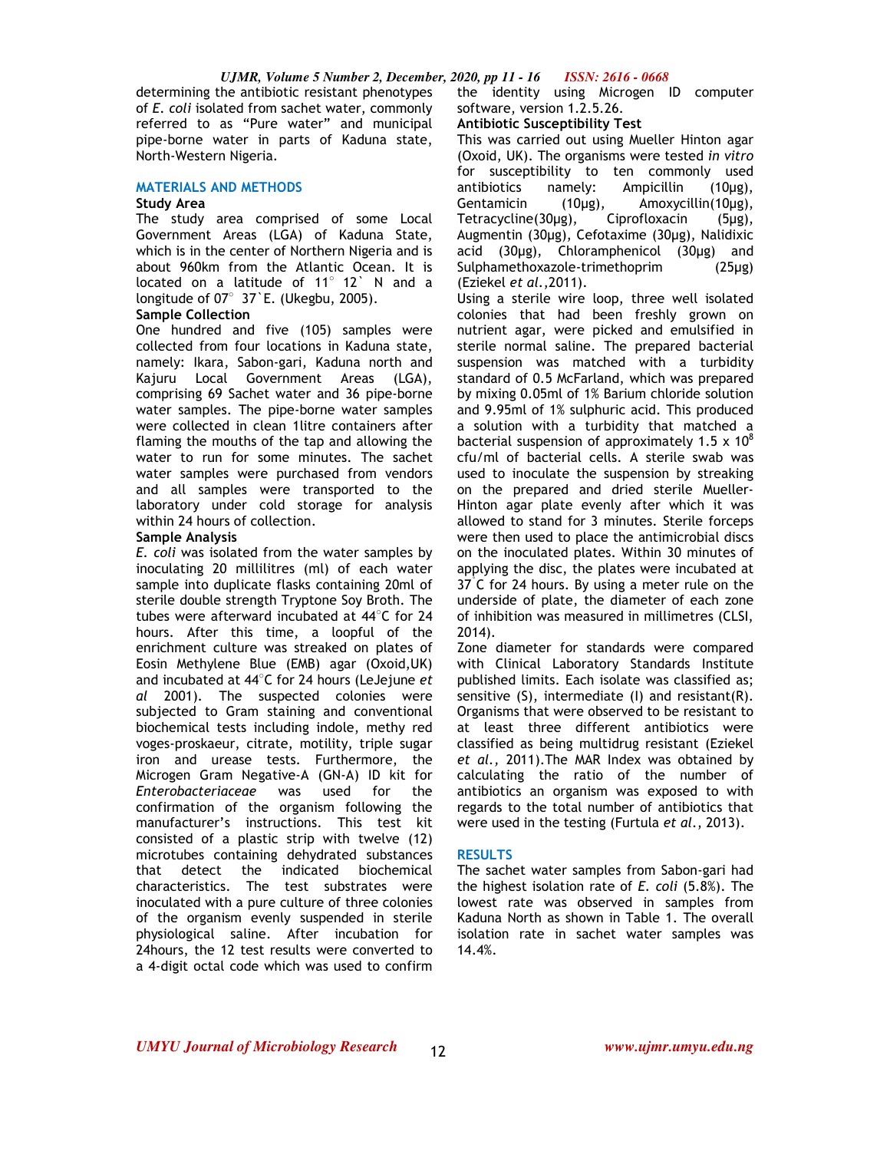#### *UJMR, Volume 5 Number 2, December, 2020, pp 11 - 16 ISSN: 2616 - 0668*

determining the antibiotic resistant phenotypes of *E. coli* isolated from sachet water, commonly referred to as "Pure water" and municipal pipe-borne water in parts of Kaduna state, North-Western Nigeria.

#### **MATERIALS AND METHODS**

#### **Study Area**

The study area comprised of some Local Government Areas (LGA) of Kaduna State, which is in the center of Northern Nigeria and is about 960km from the Atlantic Ocean. It is located on a latitude of 11° 12` N and a longitude of 07○ 37`E. (Ukegbu, 2005).

### **Sample Collection**

One hundred and five (105) samples were collected from four locations in Kaduna state, namely: Ikara, Sabon-gari, Kaduna north and Kajuru Local Government Areas (LGA), comprising 69 Sachet water and 36 pipe-borne water samples. The pipe-borne water samples were collected in clean 1litre containers after flaming the mouths of the tap and allowing the water to run for some minutes. The sachet water samples were purchased from vendors and all samples were transported to the laboratory under cold storage for analysis within 24 hours of collection.

### **Sample Analysis**

*E. coli* was isolated from the water samples by inoculating 20 millilitres (ml) of each water sample into duplicate flasks containing 20ml of sterile double strength Tryptone Soy Broth. The tubes were afterward incubated at 44○C for 24 hours. After this time, a loopful of the enrichment culture was streaked on plates of Eosin Methylene Blue (EMB) agar (Oxoid,UK) and incubated at 44○ C for 24 hours (LeJejune *et al* 2001). The suspected colonies were subjected to Gram staining and conventional biochemical tests including indole, methy red voges-proskaeur, citrate, motility, triple sugar iron and urease tests. Furthermore, the Microgen Gram Negative-A (GN-A) ID kit for *Enterobacteriaceae* was used for the confirmation of the organism following the manufacturer's instructions. This test kit consisted of a plastic strip with twelve (12) microtubes containing dehydrated substances that detect the indicated biochemical characteristics. The test substrates were inoculated with a pure culture of three colonies of the organism evenly suspended in sterile physiological saline. After incubation for 24hours, the 12 test results were converted to a 4-digit octal code which was used to confirm

the identity using Microgen ID computer software, version 1.2.5.26.

### **Antibiotic Susceptibility Test**

This was carried out using Mueller Hinton agar (Oxoid, UK). The organisms were tested *in vitro* for susceptibility to ten commonly used antibiotics namely: Ampicillin (10µg), Gentamicin (10μg), Amoxycillin(10μg),<br>Tetracycline(30μg), Ciprofloxacin (5μg), Tetracycline(30µg), Ciprofloxacin (5µg), Augmentin (30µg), Cefotaxime (30µg), Nalidixic acid (30µg), Chloramphenicol (30µg) and Sulphamethoxazole-trimethoprim (25µg) (Eziekel *et al.*,2011).

Using a sterile wire loop, three well isolated colonies that had been freshly grown on nutrient agar, were picked and emulsified in sterile normal saline. The prepared bacterial suspension was matched with a turbidity standard of 0.5 McFarland, which was prepared by mixing 0.05ml of 1% Barium chloride solution and 9.95ml of 1% sulphuric acid. This produced a solution with a turbidity that matched a bacterial suspension of approximately 1.5 x  $10^8$ cfu/ml of bacterial cells. A sterile swab was used to inoculate the suspension by streaking on the prepared and dried sterile Mueller-Hinton agar plate evenly after which it was allowed to stand for 3 minutes. Sterile forceps were then used to place the antimicrobial discs on the inoculated plates. Within 30 minutes of applying the disc, the plates were incubated at 37<sup>°</sup>C for 24 hours. By using a meter rule on the underside of plate, the diameter of each zone of inhibition was measured in millimetres (CLSI, 2014).

Zone diameter for standards were compared with Clinical Laboratory Standards Institute published limits. Each isolate was classified as; sensitive (S), intermediate (I) and resistant(R). Organisms that were observed to be resistant to at least three different antibiotics were classified as being multidrug resistant (Eziekel *et al.,* 2011).The MAR Index was obtained by calculating the ratio of the number of antibiotics an organism was exposed to with regards to the total number of antibiotics that were used in the testing (Furtula *et al*., 2013).

#### **RESULTS**

The sachet water samples from Sabon-gari had the highest isolation rate of *E. coli* (5.8%). The lowest rate was observed in samples from Kaduna North as shown in Table 1. The overall isolation rate in sachet water samples was 14.4%.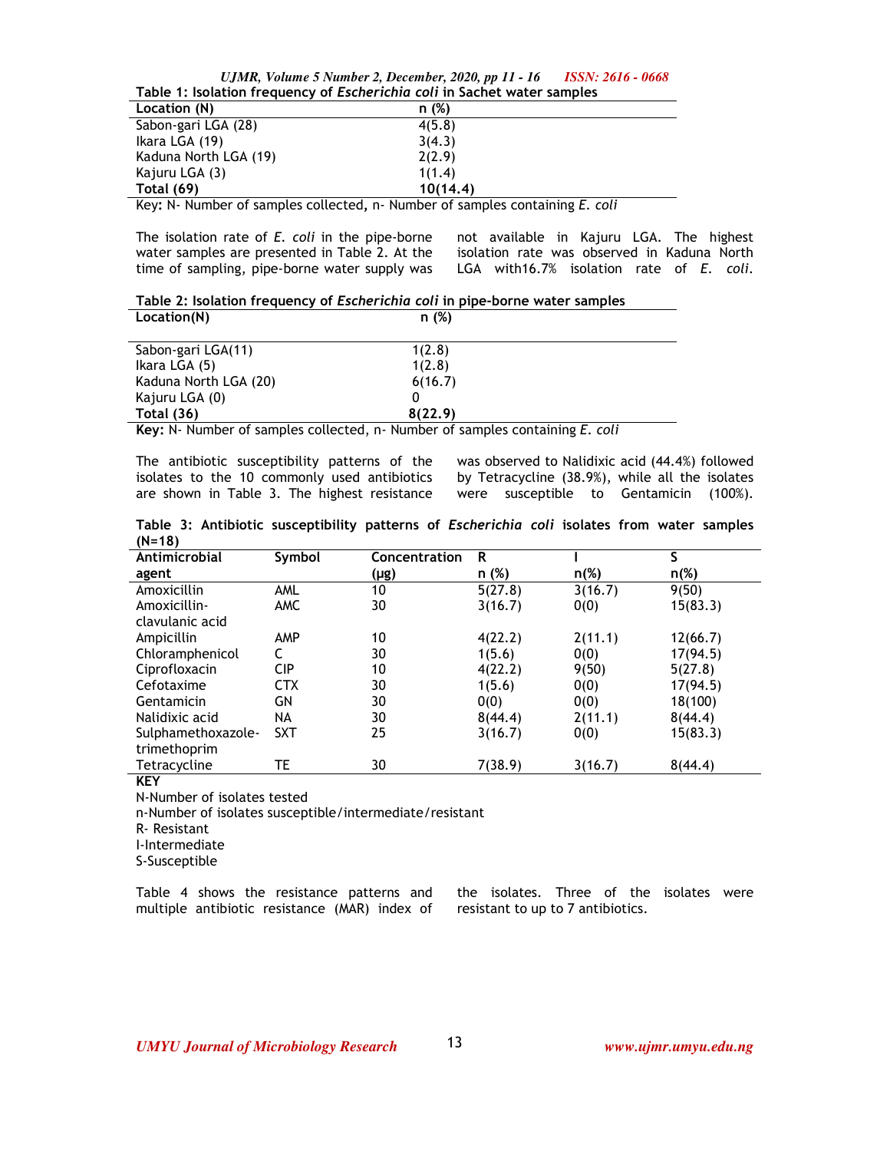| UJMR, Volume 5 Number 2, December, 2020, pp 11 - 16                             | ISSN: 2616 - 0668 |  |  |
|---------------------------------------------------------------------------------|-------------------|--|--|
| Table 1: Isolation frequency of <i>Escherichia coli</i> in Sachet water samples |                   |  |  |

| Table 1, isolation if equency of <i>EscriciTentia</i> con in Sachet water samples |                                                                                  |  |  |
|-----------------------------------------------------------------------------------|----------------------------------------------------------------------------------|--|--|
| Location (N)                                                                      | n(%)                                                                             |  |  |
| Sabon-gari LGA (28)                                                               | 4(5.8)                                                                           |  |  |
| Ikara LGA (19)                                                                    | 3(4.3)                                                                           |  |  |
| Kaduna North LGA (19)                                                             | 2(2.9)                                                                           |  |  |
| Kajuru LGA (3)                                                                    | 1(1.4)                                                                           |  |  |
| <b>Total (69)</b>                                                                 | 10(14.4)                                                                         |  |  |
|                                                                                   | I/ain N. Nijinkar af campion sallacted in Nijinkar af campion cantaining E. sali |  |  |

Key**:** N- Number of samples collected**,** n- Number of samples containing *E. coli*

The isolation rate of *E. coli* in the pipe-borne water samples are presented in Table 2. At the time of sampling, pipe-borne water supply was

not available in Kajuru LGA. The highest isolation rate was observed in Kaduna North LGA with16.7% isolation rate of *E. coli*.

**Table 2: Isolation frequency of** *Escherichia coli* **in pipe-borne water samples** 

| Location(N)           | n (%)   |  |  |
|-----------------------|---------|--|--|
| Sabon-gari LGA(11)    | 1(2.8)  |  |  |
| Ikara LGA (5)         | 1(2.8)  |  |  |
| Kaduna North LGA (20) | 6(16.7) |  |  |
| Kajuru LGA (0)        |         |  |  |
| <b>Total (36)</b>     | 8(22.9) |  |  |
|                       |         |  |  |

**Key:** N- Number of samples collected, n- Number of samples containing *E. coli* 

The antibiotic susceptibility patterns of the isolates to the 10 commonly used antibiotics are shown in Table 3. The highest resistance

was observed to Nalidixic acid (44.4%) followed by Tetracycline (38.9%), while all the isolates were susceptible to Gentamicin (100%).

**Table 3: Antibiotic susceptibility patterns of** *Escherichia coli* **isolates from water samples (N=18)** 

| $\cdots$ $\cdots$<br>Antimicrobial | Symbol     | Concentration | R       |         | S        |
|------------------------------------|------------|---------------|---------|---------|----------|
| agent                              |            | (µg)          | n (%)   | $n(\%)$ | $n(\%)$  |
| Amoxicillin                        | AML        | 10            | 5(27.8) | 3(16.7) | 9(50)    |
| Amoxicillin-                       | <b>AMC</b> | 30            | 3(16.7) | 0(0)    | 15(83.3) |
| clavulanic acid                    |            |               |         |         |          |
| Ampicillin                         | AMP        | 10            | 4(22.2) | 2(11.1) | 12(66.7) |
| Chloramphenicol                    |            | 30            | 1(5.6)  | 0(0)    | 17(94.5) |
| Ciprofloxacin                      | <b>CIP</b> | 10            | 4(22.2) | 9(50)   | 5(27.8)  |
| Cefotaxime                         | <b>CTX</b> | 30            | 1(5.6)  | 0(0)    | 17(94.5) |
| Gentamicin                         | GN         | 30            | 0(0)    | 0(0)    | 18(100)  |
| Nalidixic acid                     | NA         | 30            | 8(44.4) | 2(11.1) | 8(44.4)  |
| Sulphamethoxazole-                 | <b>SXT</b> | 25            | 3(16.7) | 0(0)    | 15(83.3) |
| trimethoprim                       |            |               |         |         |          |
| Tetracycline                       | TE         | 30            | 7(38.9) | 3(16.7) | 8(44.4)  |

**KEY** 

N-Number of isolates tested

n-Number of isolates susceptible/intermediate/resistant

R- Resistant

I-Intermediate

S-Susceptible

Table 4 shows the resistance patterns and multiple antibiotic resistance (MAR) index of the isolates. Three of the isolates were resistant to up to 7 antibiotics.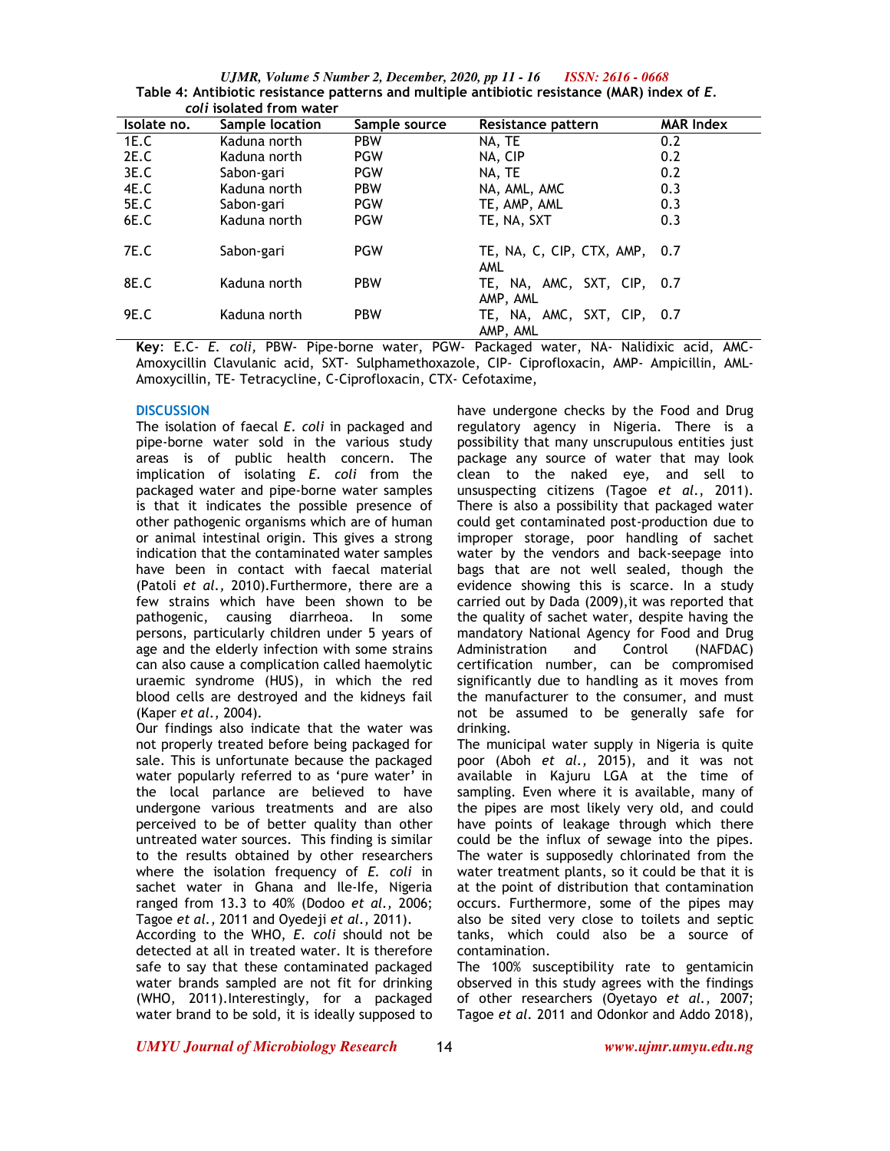*UJMR, Volume 5 Number 2, December, 2020, pp 11 - 16 ISSN: 2616 - 0668* Table 4: Antibiotic resistance patterns and multiple antibiotic resistance (MAR) index of *E*.  *coli* **isolated from water** 

| Isolate no. | Sample location | Sample source | Resistance pattern                          | <b>MAR Index</b> |
|-------------|-----------------|---------------|---------------------------------------------|------------------|
| 1E.C        | Kaduna north    | <b>PBW</b>    | NA, TE                                      | 0.2              |
| 2E.C        | Kaduna north    | <b>PGW</b>    | NA, CIP                                     | 0.2              |
| 3E.C        | Sabon-gari      | <b>PGW</b>    | NA, TE                                      | 0.2              |
| 4E.C        | Kaduna north    | <b>PBW</b>    | NA, AML, AMC                                | 0.3              |
| <b>5E.C</b> | Sabon-gari      | <b>PGW</b>    | TE, AMP, AML                                | 0.3              |
| 6E.C        | Kaduna north    | <b>PGW</b>    | TE, NA, SXT                                 | 0.3              |
| 7E.C        | Sabon-gari      | <b>PGW</b>    | TE, NA, C, CIP, CTX, AMP, 0.7<br><b>AML</b> |                  |
| 8E.C        | Kaduna north    | <b>PBW</b>    | TE, NA, AMC, SXT, CIP, 0.7<br>AMP, AML      |                  |
| 9E.C        | Kaduna north    | <b>PBW</b>    | TE, NA, AMC, SXT, CIP, 0.7<br>AMP, AML      |                  |

**Key**: E.C- *E. coli,* PBW- Pipe-borne water, PGW- Packaged water, NA- Nalidixic acid, AMC-Amoxycillin Clavulanic acid, SXT- Sulphamethoxazole, CIP- Ciprofloxacin, AMP- Ampicillin, AML-Amoxycillin, TE- Tetracycline, C-Ciprofloxacin, CTX- Cefotaxime,

# **DISCUSSION**

The isolation of faecal *E. coli* in packaged and pipe-borne water sold in the various study areas is of public health concern. The implication of isolating *E. coli* from the packaged water and pipe-borne water samples is that it indicates the possible presence of other pathogenic organisms which are of human or animal intestinal origin. This gives a strong indication that the contaminated water samples have been in contact with faecal material (Patoli *et al.,* 2010).Furthermore, there are a few strains which have been shown to be pathogenic, causing diarrheoa. In some persons, particularly children under 5 years of age and the elderly infection with some strains can also cause a complication called haemolytic uraemic syndrome (HUS), in which the red blood cells are destroyed and the kidneys fail (Kaper *et al*., 2004).

Our findings also indicate that the water was not properly treated before being packaged for sale. This is unfortunate because the packaged water popularly referred to as 'pure water' in the local parlance are believed to have undergone various treatments and are also perceived to be of better quality than other untreated water sources. This finding is similar to the results obtained by other researchers where the isolation frequency of *E. coli* in sachet water in Ghana and Ile-Ife, Nigeria ranged from 13.3 to 40% (Dodoo *et al.,* 2006; Tagoe *et al.,* 2011 and Oyedeji *et al.,* 2011).

According to the WHO, *E. coli* should not be detected at all in treated water. It is therefore safe to say that these contaminated packaged water brands sampled are not fit for drinking (WHO, 2011).Interestingly, for a packaged water brand to be sold, it is ideally supposed to

have undergone checks by the Food and Drug regulatory agency in Nigeria. There is a possibility that many unscrupulous entities just package any source of water that may look clean to the naked eye, and sell to unsuspecting citizens (Tagoe *et al.*, 2011). There is also a possibility that packaged water could get contaminated post-production due to improper storage, poor handling of sachet water by the vendors and back-seepage into bags that are not well sealed, though the evidence showing this is scarce. In a study carried out by Dada (2009),it was reported that the quality of sachet water, despite having the mandatory National Agency for Food and Drug Administration and Control (NAFDAC) certification number, can be compromised significantly due to handling as it moves from the manufacturer to the consumer, and must not be assumed to be generally safe for drinking.

The municipal water supply in Nigeria is quite poor (Aboh *et al.,* 2015), and it was not available in Kajuru LGA at the time of sampling. Even where it is available, many of the pipes are most likely very old, and could have points of leakage through which there could be the influx of sewage into the pipes. The water is supposedly chlorinated from the water treatment plants, so it could be that it is at the point of distribution that contamination occurs. Furthermore, some of the pipes may also be sited very close to toilets and septic tanks, which could also be a source of contamination.

The 100% susceptibility rate to gentamicin observed in this study agrees with the findings of other researchers (Oyetayo *et al.,* 2007; Tagoe *et al.* 2011 and Odonkor and Addo 2018),

*UMYU Journal of Microbiology Research www.ujmr.umyu.edu.ng*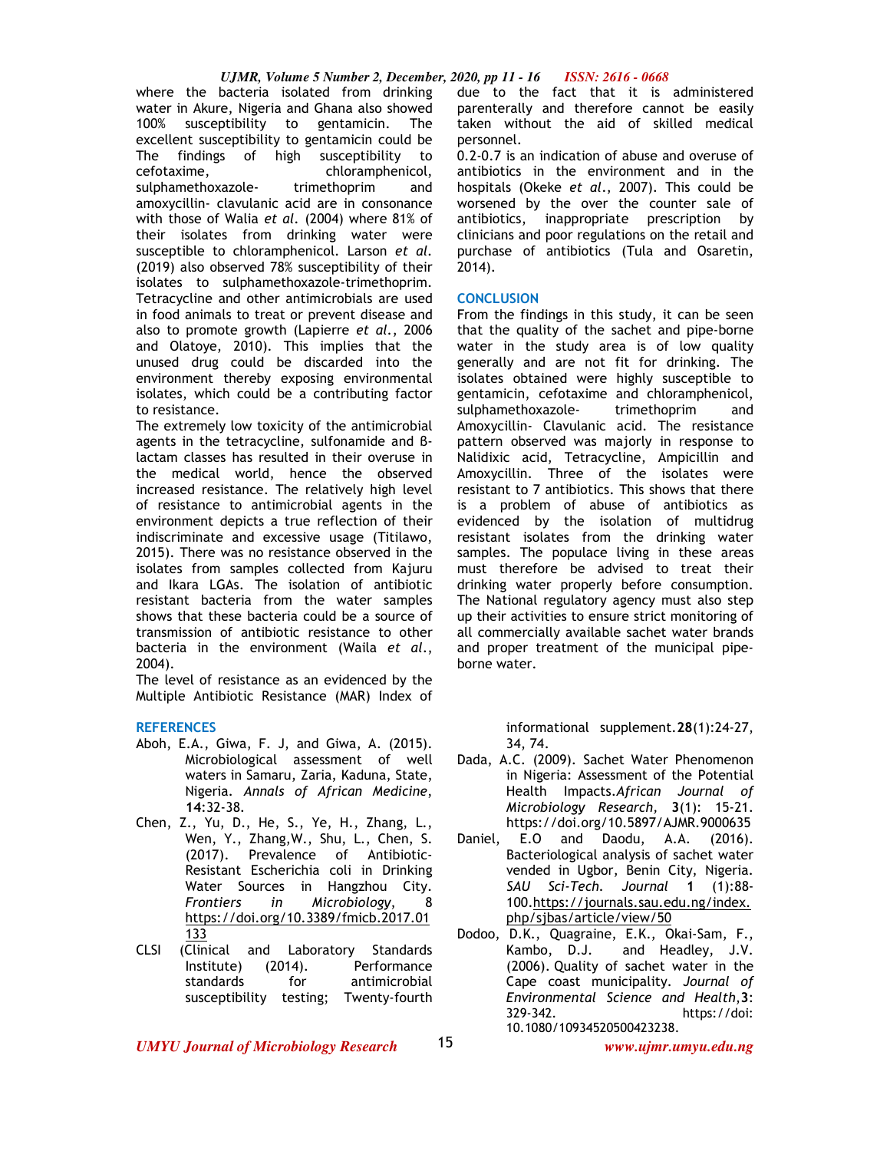where the bacteria isolated from drinking water in Akure, Nigeria and Ghana also showed 100% susceptibility to gentamicin. The excellent susceptibility to gentamicin could be The findings of high susceptibility to cefotaxime, chloramphenicol, sulphamethoxazole- trimethoprim and amoxycillin- clavulanic acid are in consonance with those of Walia *et al.* (2004) where 81% of their isolates from drinking water were susceptible to chloramphenicol. Larson *et al.* (2019) also observed 78% susceptibility of their isolates to sulphamethoxazole-trimethoprim. Tetracycline and other antimicrobials are used in food animals to treat or prevent disease and also to promote growth (Lapierre *et al.*, 2006 and Olatoye, 2010). This implies that the unused drug could be discarded into the environment thereby exposing environmental isolates, which could be a contributing factor to resistance.

The extremely low toxicity of the antimicrobial agents in the tetracycline, sulfonamide and βlactam classes has resulted in their overuse in the medical world, hence the observed increased resistance. The relatively high level of resistance to antimicrobial agents in the environment depicts a true reflection of their indiscriminate and excessive usage (Titilawo, 2015). There was no resistance observed in the isolates from samples collected from Kajuru and Ikara LGAs. The isolation of antibiotic resistant bacteria from the water samples shows that these bacteria could be a source of transmission of antibiotic resistance to other bacteria in the environment (Waila *et al*., 2004).

The level of resistance as an evidenced by the Multiple Antibiotic Resistance (MAR) Index of

### **REFERENCES**

- Aboh, E.A., Giwa, F. J, and Giwa, A. (2015). Microbiological assessment of well waters in Samaru, Zaria, Kaduna, State, Nigeria. *Annals of African Medicine*, **14**:32-38.
- Chen, Z., Yu, D., He, S., Ye, H., Zhang, L., Wen, Y., Zhang,W., Shu, L., Chen, S. (2017). Prevalence of Antibiotic-Resistant Escherichia coli in Drinking Water Sources in Hangzhou City. *Frontiers in Microbiology*, 8 https://doi.org/10.3389/fmicb.2017.01 133
- CLSI (Clinical and Laboratory Standards Institute) (2014). Performance standards for antimicrobial susceptibility testing; Twenty-fourth

due to the fact that it is administered parenterally and therefore cannot be easily taken without the aid of skilled medical personnel.

0.2-0.7 is an indication of abuse and overuse of antibiotics in the environment and in the hospitals (Okeke *et al*., 2007). This could be worsened by the over the counter sale of antibiotics, inappropriate prescription by clinicians and poor regulations on the retail and purchase of antibiotics (Tula and Osaretin, 2014).

### **CONCLUSION**

From the findings in this study, it can be seen that the quality of the sachet and pipe-borne water in the study area is of low quality generally and are not fit for drinking. The isolates obtained were highly susceptible to gentamicin, cefotaxime and chloramphenicol, sulphamethoxazole- trimethoprim and Amoxycillin- Clavulanic acid. The resistance pattern observed was majorly in response to Nalidixic acid, Tetracycline, Ampicillin and Amoxycillin. Three of the isolates were resistant to 7 antibiotics. This shows that there is a problem of abuse of antibiotics as evidenced by the isolation of multidrug resistant isolates from the drinking water samples. The populace living in these areas must therefore be advised to treat their drinking water properly before consumption. The National regulatory agency must also step up their activities to ensure strict monitoring of all commercially available sachet water brands and proper treatment of the municipal pipeborne water.

> informational supplement.**28**(1):24-27, 34, 74.

- Dada, A.C. (2009). Sachet Water Phenomenon in Nigeria: Assessment of the Potential Health Impacts.*African Journal of Microbiology Research,* **3**(1): 15-21. https://doi.org/10.5897/AJMR.9000635
- Daniel, E.O and Daodu, A.A. (2016). Bacteriological analysis of sachet water vended in Ugbor, Benin City, Nigeria. *SAU Sci-Tech. Journal* **1** (1):88- 100.https://journals.sau.edu.ng/index. php/sjbas/article/view/50
- Dodoo, D.K., Quagraine, E.K., Okai-Sam, F., Kambo, D.J. and Headley, J.V. (2006). Quality of sachet water in the Cape coast municipality. *Journal of Environmental Science and Health*,**3**: 329-342. https://doi: 10.1080/10934520500423238.

*UMYU Journal of Microbiology Research www.ujmr.umyu.edu.ng*